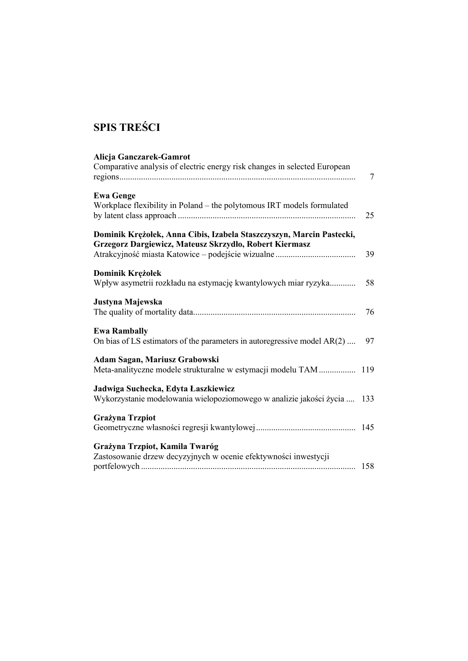## **SPIS TREŚCI**

| Alicja Ganczarek-Gamrot<br>Comparative analysis of electric energy risk changes in selected European                           | $\overline{7}$ |
|--------------------------------------------------------------------------------------------------------------------------------|----------------|
| <b>Ewa Genge</b><br>Workplace flexibility in Poland - the polytomous IRT models formulated                                     | 25             |
| Dominik Krężołek, Anna Cibis, Izabela Staszczyszyn, Marcin Pastecki,<br>Grzegorz Dargiewicz, Mateusz Skrzydło, Robert Kiermasz | 39             |
| Dominik Krężołek<br>Wpływ asymetrii rozkładu na estymację kwantylowych miar ryzyka                                             | 58             |
| Justyna Majewska                                                                                                               | 76             |
| <b>Ewa Rambally</b><br>On bias of LS estimators of the parameters in autoregressive model AR(2)                                | 97             |
| Adam Sagan, Mariusz Grabowski<br>Meta-analityczne modele strukturalne w estymacji modelu TAM  119                              |                |
| Jadwiga Suchecka, Edyta Łaszkiewicz<br>Wykorzystanie modelowania wielopoziomowego w analizie jakości życia                     | 133            |
| <b>Grażyna Trzpiot</b>                                                                                                         |                |
| Grażyna Trzpiot, Kamila Twaróg<br>Zastosowanie drzew decyzyjnych w ocenie efektywności inwestycji                              | 158            |